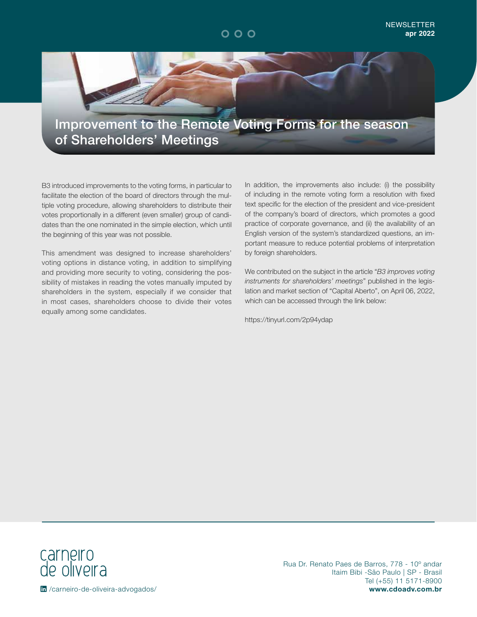



B3 introduced improvements to the voting forms, in particular to facilitate the election of the board of directors through the multiple voting procedure, allowing shareholders to distribute their votes proportionally in a different (even smaller) group of candidates than the one nominated in the simple election, which until the beginning of this year was not possible.

This amendment was designed to increase shareholders' voting options in distance voting, in addition to simplifying and providing more security to voting, considering the possibility of mistakes in reading the votes manually imputed by shareholders in the system, especially if we consider that in most cases, shareholders choose to divide their votes equally among some candidates.

In addition, the improvements also include: (i) the possibility of including in the remote voting form a resolution with fixed text specific for the election of the president and vice-president of the company's board of directors, which promotes a good practice of corporate governance, and (ii) the availability of an English version of the system's standardized questions, an important measure to reduce potential problems of interpretation by foreign shareholders.

We contributed on the subject in the article "*B3 improves voting instruments for shareholders' meetings*" published in the legislation and market section of "Capital Aberto", on April 06, 2022, which can be accessed through the link below:

https://tinyurl.com/2p94ydap



Rua Dr. Renato Paes de Barros, 778 - 10º andar Itaim Bibi -São Paulo | SP - Brasil Tel (+55) 11 5171-8900 /carneiro-de-oliveira-advogados/ **www.cdoadv.com.br**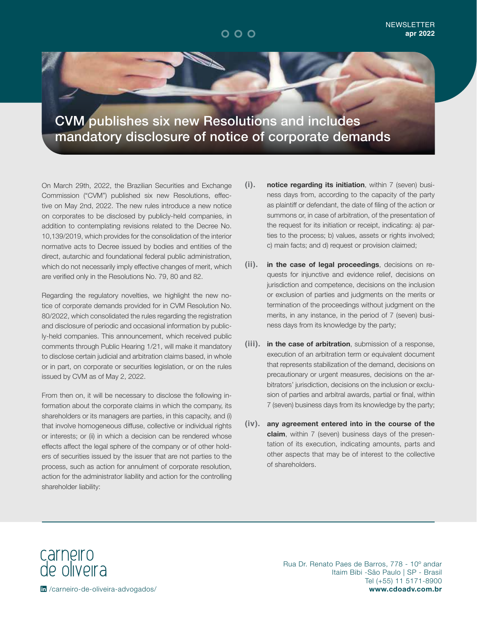

CVM publishes six new Resolutions and includes mandatory disclosure of notice of corporate demands

On March 29th, 2022, the Brazilian Securities and Exchange Commission ("CVM") published six new Resolutions, effective on May 2nd, 2022. The new rules introduce a new notice on corporates to be disclosed by publicly-held companies, in addition to contemplating revisions related to the Decree No. 10,139/2019, which provides for the consolidation of the interior normative acts to Decree issued by bodies and entities of the direct, autarchic and foundational federal public administration, which do not necessarily imply effective changes of merit, which are verified only in the Resolutions No. 79, 80 and 82.

Regarding the regulatory novelties, we highlight the new notice of corporate demands provided for in CVM Resolution No. 80/2022, which consolidated the rules regarding the registration and disclosure of periodic and occasional information by publicly-held companies. This announcement, which received public comments through Public Hearing 1/21, will make it mandatory to disclose certain judicial and arbitration claims based, in whole or in part, on corporate or securities legislation, or on the rules issued by CVM as of May 2, 2022.

From then on, it will be necessary to disclose the following information about the corporate claims in which the company, its shareholders or its managers are parties, in this capacity, and (i) that involve homogeneous diffuse, collective or individual rights or interests; or (ii) in which a decision can be rendered whose effects affect the legal sphere of the company or of other holders of securities issued by the issuer that are not parties to the process, such as action for annulment of corporate resolution, action for the administrator liability and action for the controlling shareholder liability:

- **(i). notice regarding its initiation**, within 7 (seven) business days from, according to the capacity of the party as plaintiff or defendant, the date of filing of the action or summons or, in case of arbitration, of the presentation of the request for its initiation or receipt, indicating: a) parties to the process; b) values, assets or rights involved; c) main facts; and d) request or provision claimed;
- **(ii). in the case of legal proceedings**, decisions on requests for injunctive and evidence relief, decisions on jurisdiction and competence, decisions on the inclusion or exclusion of parties and judgments on the merits or termination of the proceedings without judgment on the merits, in any instance, in the period of 7 (seven) business days from its knowledge by the party;
- **(iii). in the case of arbitration**, submission of a response, execution of an arbitration term or equivalent document that represents stabilization of the demand, decisions on precautionary or urgent measures, decisions on the arbitrators' jurisdiction, decisions on the inclusion or exclusion of parties and arbitral awards, partial or final, within 7 (seven) business days from its knowledge by the party;
- **(iv). any agreement entered into in the course of the claim**, within 7 (seven) business days of the presentation of its execution, indicating amounts, parts and other aspects that may be of interest to the collective of shareholders.

carneiro<br>de oliveira

Rua Dr. Renato Paes de Barros, 778 - 10º andar Itaim Bibi -São Paulo | SP - Brasil Tel (+55) 11 5171-8900 /carneiro-de-oliveira-advogados/ **www.cdoadv.com.br**